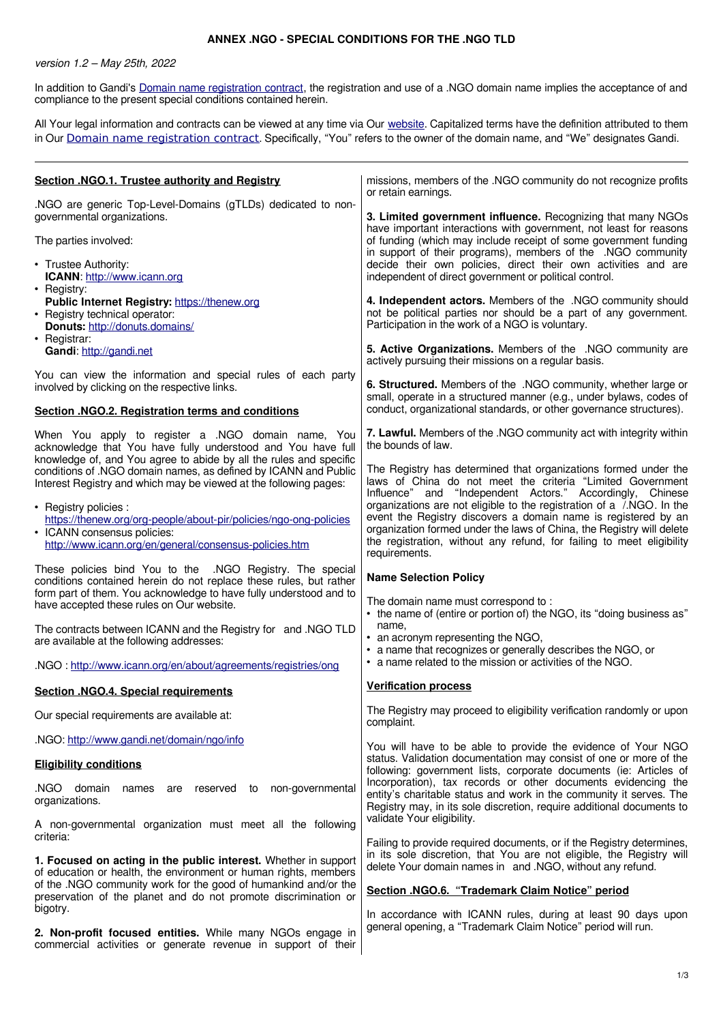## **ANNEX .NGO - SPECIAL CONDITIONS FOR THE .NGO TLD**

version 1.2 – May 25th, 2022

In addition to Gandi's [Domain name registration contract](https://www.gandi.net/en/contracts/terms-of-service), the registration and use of a .NGO domain name implies the acceptance of and compliance to the present special conditions contained herein.

All Your legal information and contracts can be viewed at any time via Our [website.](http://www.gandi.net/) Capitalized terms have the definition attributed to them in Our [Domain name registration contract](https://www.gandi.net/en/contracts/terms-of-service). Specifically, "You" refers to the owner of the domain name, and "We" designates Gandi.

| Section .NGO.1. Trustee authority and Registry                                                                                                                                                                                                     | missions, members of the .NGO community do not recognize profits<br>or retain earnings.                                                                                                                                                                                                                                                                                                           |
|----------------------------------------------------------------------------------------------------------------------------------------------------------------------------------------------------------------------------------------------------|---------------------------------------------------------------------------------------------------------------------------------------------------------------------------------------------------------------------------------------------------------------------------------------------------------------------------------------------------------------------------------------------------|
| .NGO are generic Top-Level-Domains (gTLDs) dedicated to non-<br>governmental organizations.                                                                                                                                                        | 3. Limited government influence. Recognizing that many NGOs<br>have important interactions with government, not least for reasons<br>of funding (which may include receipt of some government funding<br>in support of their programs), members of the .NGO community<br>decide their own policies, direct their own activities and are<br>independent of direct government or political control. |
| The parties involved:                                                                                                                                                                                                                              |                                                                                                                                                                                                                                                                                                                                                                                                   |
| • Trustee Authority:<br>ICANN: http://www.icann.org<br>• Registry:                                                                                                                                                                                 |                                                                                                                                                                                                                                                                                                                                                                                                   |
| Public Internet Registry: https://thenew.org<br>• Registry technical operator:<br>Donuts: http://donuts.domains/                                                                                                                                   | 4. Independent actors. Members of the .NGO community should<br>not be political parties nor should be a part of any government.<br>Participation in the work of a NGO is voluntary.                                                                                                                                                                                                               |
| • Registrar:<br>Gandi: http://gandi.net                                                                                                                                                                                                            | 5. Active Organizations. Members of the .NGO community are<br>actively pursuing their missions on a regular basis.                                                                                                                                                                                                                                                                                |
| You can view the information and special rules of each party<br>involved by clicking on the respective links.                                                                                                                                      | 6. Structured. Members of the .NGO community, whether large or<br>small, operate in a structured manner (e.g., under bylaws, codes of                                                                                                                                                                                                                                                             |
| <b>Section .NGO.2. Registration terms and conditions</b>                                                                                                                                                                                           | conduct, organizational standards, or other governance structures).                                                                                                                                                                                                                                                                                                                               |
| When You apply to register a .NGO domain name, You<br>acknowledge that You have fully understood and You have full<br>knowledge of, and You agree to abide by all the rules and specific                                                           | 7. Lawful. Members of the .NGO community act with integrity within<br>the bounds of law.                                                                                                                                                                                                                                                                                                          |
| conditions of .NGO domain names, as defined by ICANN and Public<br>Interest Registry and which may be viewed at the following pages:                                                                                                               | The Registry has determined that organizations formed under the<br>laws of China do not meet the criteria "Limited Government<br>Influence" and "Independent Actors." Accordingly, Chinese                                                                                                                                                                                                        |
| • Registry policies :<br>https://thenew.org/org-people/about-pir/policies/ngo-ong-policies<br>• ICANN consensus policies:<br>http://www.icann.org/en/general/consensus-policies.htm                                                                | organizations are not eligible to the registration of a /.NGO. In the<br>event the Registry discovers a domain name is registered by an<br>organization formed under the laws of China, the Registry will delete<br>the registration, without any refund, for failing to meet eligibility<br>requirements.                                                                                        |
| These policies bind You to the .NGO Registry. The special<br>conditions contained herein do not replace these rules, but rather<br>form part of them. You acknowledge to have fully understood and to<br>have accepted these rules on Our website. | <b>Name Selection Policy</b><br>The domain name must correspond to:                                                                                                                                                                                                                                                                                                                               |
| The contracts between ICANN and the Registry for and .NGO TLD<br>are available at the following addresses:                                                                                                                                         | • the name of (entire or portion of) the NGO, its "doing business as"<br>name,<br>• an acronym representing the NGO,<br>• a name that recognizes or generally describes the NGO, or                                                                                                                                                                                                               |
| .NGO: http://www.icann.org/en/about/agreements/registries/ong                                                                                                                                                                                      | • a name related to the mission or activities of the NGO.                                                                                                                                                                                                                                                                                                                                         |
| <b>Section .NGO.4. Special requirements</b>                                                                                                                                                                                                        | <b>Verification process</b>                                                                                                                                                                                                                                                                                                                                                                       |
| Our special requirements are available at:                                                                                                                                                                                                         | The Registry may proceed to eligibility verification randomly or upon<br>complaint.                                                                                                                                                                                                                                                                                                               |
| .NGO: http://www.gandi.net/domain/ngo/info                                                                                                                                                                                                         | You will have to be able to provide the evidence of Your NGO                                                                                                                                                                                                                                                                                                                                      |
| <b>Eligibility conditions</b>                                                                                                                                                                                                                      | status. Validation documentation may consist of one or more of the<br>following: government lists, corporate documents (ie: Articles of                                                                                                                                                                                                                                                           |
| NGO domain<br>names are reserved to non-governmental<br>organizations.                                                                                                                                                                             | Incorporation), tax records or other documents evidencing the<br>entity's charitable status and work in the community it serves. The<br>Registry may, in its sole discretion, require additional documents to                                                                                                                                                                                     |
| A non-governmental organization must meet all the following<br>criteria:                                                                                                                                                                           | validate Your eligibility.<br>Failing to provide required documents, or if the Registry determines,                                                                                                                                                                                                                                                                                               |
| 1. Focused on acting in the public interest. Whether in support<br>of education or health, the environment or human rights, members                                                                                                                | in its sole discretion, that You are not eligible, the Registry will<br>delete Your domain names in and .NGO, without any refund.                                                                                                                                                                                                                                                                 |
| of the .NGO community work for the good of humankind and/or the<br>preservation of the planet and do not promote discrimination or<br>bigotry.                                                                                                     | Section .NGO.6. "Trademark Claim Notice" period<br>In accordance with ICANN rules, during at least 90 days upon                                                                                                                                                                                                                                                                                   |
| 2. Non-profit focused entities. While many NGOs engage in<br>commercial activities or generate revenue in support of their                                                                                                                         | general opening, a "Trademark Claim Notice" period will run.                                                                                                                                                                                                                                                                                                                                      |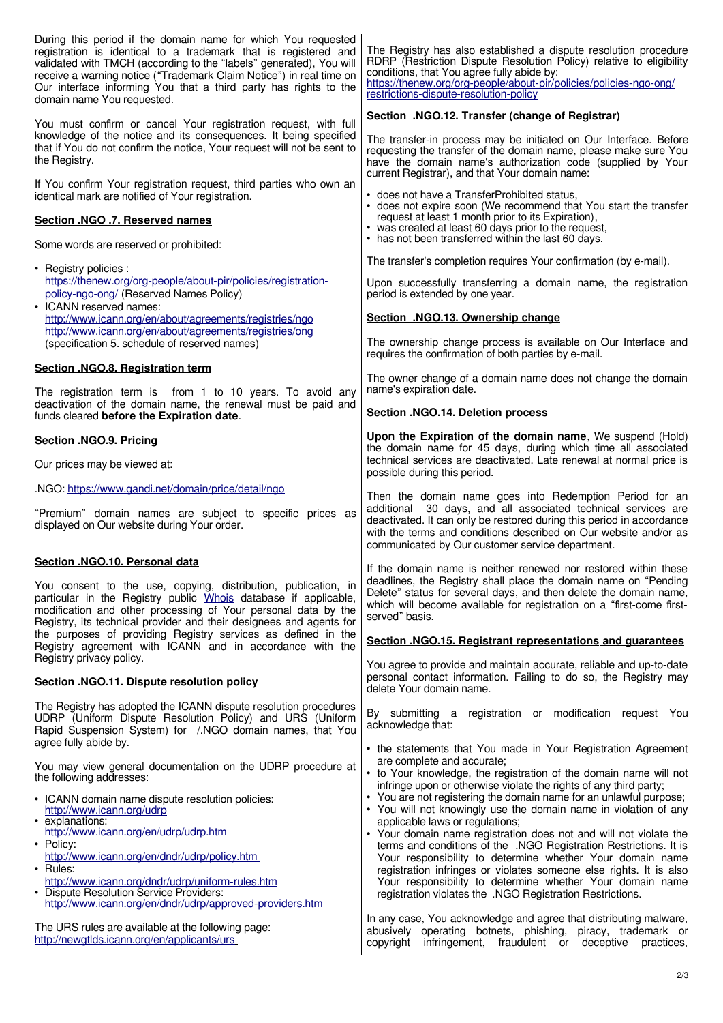| During this period if the domain name for which You requested<br>registration is identical to a trademark that is registered and<br>validated with TMCH (according to the "labels" generated), You will<br>receive a warning notice ("Trademark Claim Notice") in real time on<br>Our interface informing You that a third party has rights to the<br>domain name You requested. | The Registry has also established a dispute resolution procedure<br>RDRP (Restriction Dispute Resolution Policy) relative to eligibility<br>conditions, that You agree fully abide by:<br>https://thenew.org/org-people/about-pir/policies/policies-ngo-ong/<br>restrictions-dispute-resolution-policy |
|----------------------------------------------------------------------------------------------------------------------------------------------------------------------------------------------------------------------------------------------------------------------------------------------------------------------------------------------------------------------------------|--------------------------------------------------------------------------------------------------------------------------------------------------------------------------------------------------------------------------------------------------------------------------------------------------------|
| You must confirm or cancel Your registration request, with full                                                                                                                                                                                                                                                                                                                  | Section .NGO.12. Transfer (change of Registrar)                                                                                                                                                                                                                                                        |
| knowledge of the notice and its consequences. It being specified<br>that if You do not confirm the notice, Your request will not be sent to<br>the Registry.                                                                                                                                                                                                                     | The transfer-in process may be initiated on Our Interface. Before<br>requesting the transfer of the domain name, please make sure You<br>have the domain name's authorization code (supplied by Your<br>current Registrar), and that Your domain name:                                                 |
| If You confirm Your registration request, third parties who own an<br>identical mark are notified of Your registration.                                                                                                                                                                                                                                                          | • does not have a TransferProhibited status,<br>• does not expire soon (We recommend that You start the transfer                                                                                                                                                                                       |
| Section .NGO .7. Reserved names                                                                                                                                                                                                                                                                                                                                                  | request at least 1 month prior to its Expiration),<br>• was created at least 60 days prior to the request,<br>• has not been transferred within the last 60 days.                                                                                                                                      |
| Some words are reserved or prohibited:                                                                                                                                                                                                                                                                                                                                           | The transfer's completion requires Your confirmation (by e-mail).                                                                                                                                                                                                                                      |
| • Registry policies :<br>https://thenew.org/org-people/about-pir/policies/registration-<br>policy-ngo-ong/ (Reserved Names Policy)                                                                                                                                                                                                                                               | Upon successfully transferring a domain name, the registration<br>period is extended by one year.                                                                                                                                                                                                      |
| • ICANN reserved names:<br>http://www.icann.org/en/about/agreements/registries/ngo                                                                                                                                                                                                                                                                                               | Section .NGO.13. Ownership change                                                                                                                                                                                                                                                                      |
| http://www.icann.org/en/about/agreements/registries/ong<br>(specification 5. schedule of reserved names)                                                                                                                                                                                                                                                                         | The ownership change process is available on Our Interface and<br>requires the confirmation of both parties by e-mail.                                                                                                                                                                                 |
| Section .NGO.8. Registration term<br>The registration term is from 1 to 10 years. To avoid any                                                                                                                                                                                                                                                                                   | The owner change of a domain name does not change the domain<br>name's expiration date.                                                                                                                                                                                                                |
| deactivation of the domain name, the renewal must be paid and<br>funds cleared before the Expiration date.                                                                                                                                                                                                                                                                       | Section .NGO.14. Deletion process                                                                                                                                                                                                                                                                      |
| <b>Section .NGO.9. Pricing</b>                                                                                                                                                                                                                                                                                                                                                   | Upon the Expiration of the domain name, We suspend (Hold)                                                                                                                                                                                                                                              |
| Our prices may be viewed at:                                                                                                                                                                                                                                                                                                                                                     | the domain name for 45 days, during which time all associated<br>technical services are deactivated. Late renewal at normal price is<br>possible during this period.                                                                                                                                   |
| .NGO: https://www.gandi.net/domain/price/detail/ngo                                                                                                                                                                                                                                                                                                                              | Then the domain name goes into Redemption Period for an                                                                                                                                                                                                                                                |
| "Premium" domain names are subject to specific prices as<br>displayed on Our website during Your order.                                                                                                                                                                                                                                                                          | additional 30 days, and all associated technical services are<br>deactivated. It can only be restored during this period in accordance<br>with the terms and conditions described on Our website and/or as<br>communicated by Our customer service department.                                         |
| Section .NGO.10. Personal data                                                                                                                                                                                                                                                                                                                                                   | If the domain name is neither renewed nor restored within these                                                                                                                                                                                                                                        |
| You consent to the use, copying, distribution, publication, in<br>particular in the Registry public Whois database if applicable,<br>modification and other processing of Your personal data by the<br>Registry, its technical provider and their designees and agents for                                                                                                       | deadlines, the Registry shall place the domain name on "Pending<br>Delete" status for several days, and then delete the domain name,<br>which will become available for registration on a "first-come first-<br>served" basis.                                                                         |
| the purposes of providing Registry services as defined in the<br>Registry agreement with ICANN and in accordance with the<br>Registry privacy policy.                                                                                                                                                                                                                            | Section .NGO.15. Registrant representations and guarantees                                                                                                                                                                                                                                             |
| Section .NGO.11. Dispute resolution policy                                                                                                                                                                                                                                                                                                                                       | You agree to provide and maintain accurate, reliable and up-to-date<br>personal contact information. Failing to do so, the Registry may<br>delete Your domain name.                                                                                                                                    |
| The Registry has adopted the ICANN dispute resolution procedures<br>UDRP (Uniform Dispute Resolution Policy) and URS (Uniform<br>Rapid Suspension System) for /.NGO domain names, that You<br>agree fully abide by.                                                                                                                                                              | By submitting a registration or modification request You<br>acknowledge that:                                                                                                                                                                                                                          |
|                                                                                                                                                                                                                                                                                                                                                                                  | • the statements that You made in Your Registration Agreement<br>are complete and accurate;                                                                                                                                                                                                            |
| You may view general documentation on the UDRP procedure at<br>the following addresses:                                                                                                                                                                                                                                                                                          | • to Your knowledge, the registration of the domain name will not<br>infringe upon or otherwise violate the rights of any third party;                                                                                                                                                                 |
| • ICANN domain name dispute resolution policies:<br>http://www.icann.org/udrp<br>• explanations:                                                                                                                                                                                                                                                                                 | • You are not registering the domain name for an unlawful purpose;<br>• You will not knowingly use the domain name in violation of any<br>applicable laws or regulations;                                                                                                                              |
| http://www.icann.org/en/udrp/udrp.htm<br>• Policy:                                                                                                                                                                                                                                                                                                                               | • Your domain name registration does not and will not violate the                                                                                                                                                                                                                                      |
| http://www.icann.org/en/dndr/udrp/policy.htm                                                                                                                                                                                                                                                                                                                                     | terms and conditions of the .NGO Registration Restrictions. It is<br>Your responsibility to determine whether Your domain name                                                                                                                                                                         |
| $\cdot$ Rules:<br>http://www.icann.org/dndr/udrp/uniform-rules.htm<br>• Dispute Resolution Service Providers:<br>http://www.icann.org/en/dndr/udrp/approved-providers.htm                                                                                                                                                                                                        | registration infringes or violates someone else rights. It is also<br>Your responsibility to determine whether Your domain name<br>registration violates the .NGO Registration Restrictions.                                                                                                           |
| The URS rules are available at the following page:<br>http://newgtlds.icann.org/en/applicants/urs                                                                                                                                                                                                                                                                                | In any case, You acknowledge and agree that distributing malware,<br>abusively operating botnets, phishing, piracy, trademark or<br>copyright<br>infringement,<br>fraudulent or deceptive<br>practices.                                                                                                |